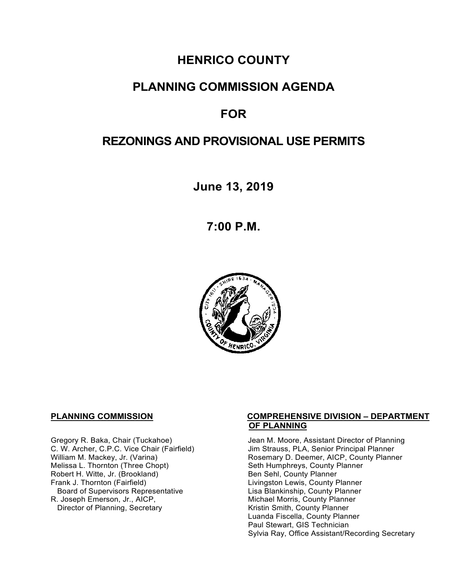## **HENRICO COUNTY**

## **PLANNING COMMISSION AGENDA**

## **FOR**

## **REZONINGS AND PROVISIONAL USE PERMITS**

**June 13, 2019**

**7:00 P.M.**



Melissa L. Thornton (Three Chopt) Seth Humphreys, County F<br>
Robert H. Witte, Jr. (Brookland) Seth Sehl, County Planner Robert H. Witte, Jr. (Brookland)<br>Frank J. Thornton (Fairfield) Board of Supervisors Representative<br>R. Joseph Emerson, Jr., AICP, Director of Planning, Secretary

#### **PLANNING COMMISSION COMPREHENSIVE DIVISION – DEPARTMENT OF PLANNING**

Gregory R. Baka, Chair (Tuckahoe) Jean M. Moore, Assistant Director of Planning<br>C. W. Archer, C.P.C. Vice Chair (Fairfield) Jim Strauss, PLA, Senior Principal Planner C. W. Archer, C.P.C. Vice Chair (Fairfield) Jim Strauss, PLA, Senior Principal Planner<br>William M. Mackey, Jr. (Varina) Sand Chair Cosemary D. Deemer, AICP, County Planner Rosemary D. Deemer, AICP, County Planner<br>Seth Humphreys, County Planner Livingston Lewis, County Planner<br>Lisa Blankinship, County Planner Michael Morris, County Planner<br>Kristin Smith, County Planner Luanda Fiscella, County Planner Paul Stewart, GIS Technician Sylvia Ray, Office Assistant/Recording Secretary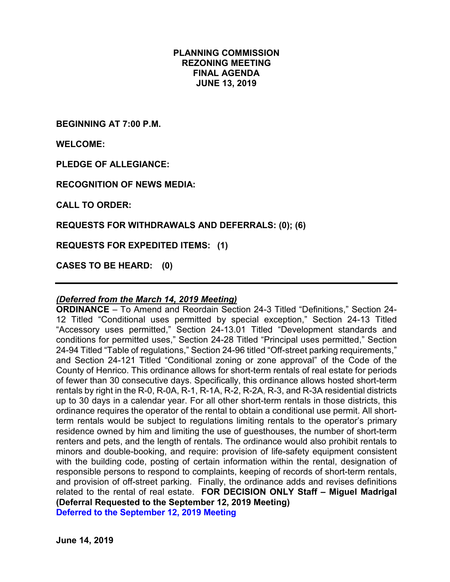#### **PLANNING COMMISSION REZONING MEETING FINAL AGENDA JUNE 13, 2019**

**BEGINNING AT 7:00 P.M.**

**WELCOME:**

**PLEDGE OF ALLEGIANCE:**

**RECOGNITION OF NEWS MEDIA:**

**CALL TO ORDER:**

**REQUESTS FOR WITHDRAWALS AND DEFERRALS: (0); (6)**

**REQUESTS FOR EXPEDITED ITEMS: (1)**

**CASES TO BE HEARD: (0)**

#### *(Deferred from the March 14, 2019 Meeting)*

**ORDINANCE** – To Amend and Reordain Section 24-3 Titled "Definitions," Section 24- 12 Titled "Conditional uses permitted by special exception," Section 24-13 Titled "Accessory uses permitted," Section 24-13.01 Titled "Development standards and conditions for permitted uses," Section 24-28 Titled "Principal uses permitted," Section 24-94 Titled "Table of regulations," Section 24-96 titled "Off-street parking requirements," and Section 24-121 Titled "Conditional zoning or zone approval" of the Code of the County of Henrico. This ordinance allows for short-term rentals of real estate for periods of fewer than 30 consecutive days. Specifically, this ordinance allows hosted short-term rentals by right in the R-0, R-0A, R-1, R-1A, R-2, R-2A, R-3, and R-3A residential districts up to 30 days in a calendar year. For all other short-term rentals in those districts, this ordinance requires the operator of the rental to obtain a conditional use permit. All shortterm rentals would be subject to regulations limiting rentals to the operator's primary residence owned by him and limiting the use of guesthouses, the number of short-term renters and pets, and the length of rentals. The ordinance would also prohibit rentals to minors and double-booking, and require: provision of life-safety equipment consistent with the building code, posting of certain information within the rental, designation of responsible persons to respond to complaints, keeping of records of short-term rentals, and provision of off-street parking. Finally, the ordinance adds and revises definitions related to the rental of real estate. **FOR DECISION ONLY Staff – Miguel Madrigal (Deferral Requested to the September 12, 2019 Meeting) Deferred to the September 12, 2019 Meeting**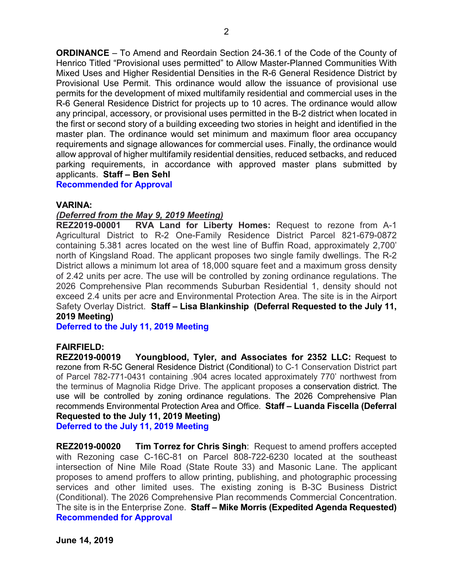**ORDINANCE** – To Amend and Reordain Section 24-36.1 of the Code of the County of Henrico Titled "Provisional uses permitted" to Allow Master-Planned Communities With Mixed Uses and Higher Residential Densities in the R-6 General Residence District by Provisional Use Permit. This ordinance would allow the issuance of provisional use permits for the development of mixed multifamily residential and commercial uses in the R-6 General Residence District for projects up to 10 acres. The ordinance would allow any principal, accessory, or provisional uses permitted in the B-2 district when located in the first or second story of a building exceeding two stories in height and identified in the master plan. The ordinance would set minimum and maximum floor area occupancy requirements and signage allowances for commercial uses. Finally, the ordinance would allow approval of higher multifamily residential densities, reduced setbacks, and reduced parking requirements, in accordance with approved master plans submitted by applicants. **Staff – Ben Sehl**

**Recommended for Approval**

#### **VARINA:**

#### *(Deferred from the May 9, 2019 Meeting)*

**REZ2019-00001 RVA Land for Liberty Homes:** Request to rezone from A-1 Agricultural District to R-2 One-Family Residence District Parcel 821-679-0872 containing 5.381 acres located on the west line of Buffin Road, approximately 2,700' north of Kingsland Road. The applicant proposes two single family dwellings. The R-2 District allows a minimum lot area of 18,000 square feet and a maximum gross density of 2.42 units per acre. The use will be controlled by zoning ordinance regulations. The 2026 Comprehensive Plan recommends Suburban Residential 1, density should not exceed 2.4 units per acre and Environmental Protection Area. The site is in the Airport Safety Overlay District. **Staff – Lisa Blankinship (Deferral Requested to the July 11, 2019 Meeting)**

**Deferred to the July 11, 2019 Meeting**

# **FAIRFIELD:**

**REZ2019-00019 Youngblood, Tyler, and Associates for 2352 LLC:** Request to rezone from R-5C General Residence District (Conditional) to C-1 Conservation District part of Parcel 782-771-0431 containing .904 acres located approximately 770' northwest from the terminus of Magnolia Ridge Drive. The applicant proposes a conservation district. The use will be controlled by zoning ordinance regulations. The 2026 Comprehensive Plan recommends Environmental Protection Area and Office. **Staff – Luanda Fiscella (Deferral Requested to the July 11, 2019 Meeting)**

**Deferred to the July 11, 2019 Meeting**

**REZ2019-00020 Tim Torrez for Chris Singh**: Request to amend proffers accepted with Rezoning case C-16C-81 on Parcel 808-722-6230 located at the southeast intersection of Nine Mile Road (State Route 33) and Masonic Lane. The applicant proposes to amend proffers to allow printing, publishing, and photographic processing services and other limited uses. The existing zoning is B-3C Business District (Conditional). The 2026 Comprehensive Plan recommends Commercial Concentration. The site is in the Enterprise Zone. **Staff – Mike Morris (Expedited Agenda Requested) Recommended for Approval**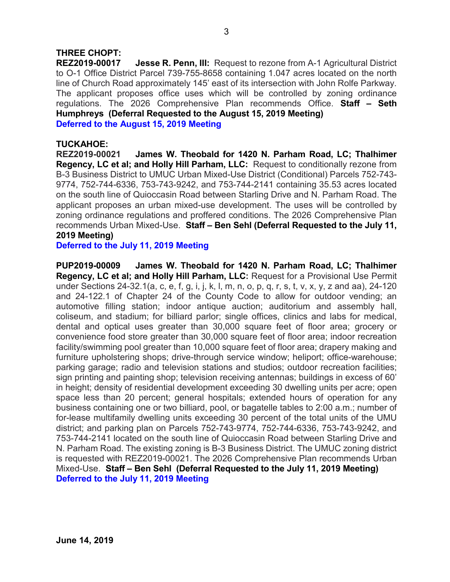**REZ2019-00017 Jesse R. Penn, III:** Request to rezone from A-1 Agricultural District to O-1 Office District Parcel 739-755-8658 containing 1.047 acres located on the north line of Church Road approximately 145' east of its intersection with John Rolfe Parkway. The applicant proposes office uses which will be controlled by zoning ordinance regulations. The 2026 Comprehensive Plan recommends Office. **Staff – Seth Humphreys (Deferral Requested to the August 15, 2019 Meeting) Deferred to the August 15, 2019 Meeting**

#### **TUCKAHOE:**

**REZ2019-00021 James W. Theobald for 1420 N. Parham Road, LC; Thalhimer Regency, LC et al; and Holly Hill Parham, LLC:** Request to conditionally rezone from B-3 Business District to UMUC Urban Mixed-Use District (Conditional) Parcels 752-743- 9774, 752-744-6336, 753-743-9242, and 753-744-2141 containing 35.53 acres located on the south line of Quioccasin Road between Starling Drive and N. Parham Road. The applicant proposes an urban mixed-use development. The uses will be controlled by zoning ordinance regulations and proffered conditions. The 2026 Comprehensive Plan recommends Urban Mixed-Use. **Staff – Ben Sehl (Deferral Requested to the July 11, 2019 Meeting)**

**Deferred to the July 11, 2019 Meeting**

**PUP2019-00009 James W. Theobald for 1420 N. Parham Road, LC; Thalhimer Regency, LC et al; and Holly Hill Parham, LLC:** Request for a Provisional Use Permit under Sections 24-32.1(a, c, e, f, g, i, j, k, l, m, n, o, p, q, r, s, t, v, x, y, z and aa), 24-120 and 24-122.1 of Chapter 24 of the County Code to allow for outdoor vending; an automotive filling station; indoor antique auction; auditorium and assembly hall, coliseum, and stadium; for billiard parlor; single offices, clinics and labs for medical, dental and optical uses greater than 30,000 square feet of floor area; grocery or convenience food store greater than 30,000 square feet of floor area; indoor recreation facility/swimming pool greater than 10,000 square feet of floor area; drapery making and furniture upholstering shops; drive-through service window; heliport; office-warehouse; parking garage; radio and television stations and studios; outdoor recreation facilities; sign printing and painting shop; television receiving antennas; buildings in excess of 60' in height; density of residential development exceeding 30 dwelling units per acre; open space less than 20 percent; general hospitals; extended hours of operation for any business containing one or two billiard, pool, or bagatelle tables to 2:00 a.m.; number of for-lease multifamily dwelling units exceeding 30 percent of the total units of the UMU district; and parking plan on Parcels 752-743-9774, 752-744-6336, 753-743-9242, and 753-744-2141 located on the south line of Quioccasin Road between Starling Drive and N. Parham Road. The existing zoning is B-3 Business District. The UMUC zoning district is requested with REZ2019-00021. The 2026 Comprehensive Plan recommends Urban Mixed-Use. **Staff – Ben Sehl (Deferral Requested to the July 11, 2019 Meeting) Deferred to the July 11, 2019 Meeting**